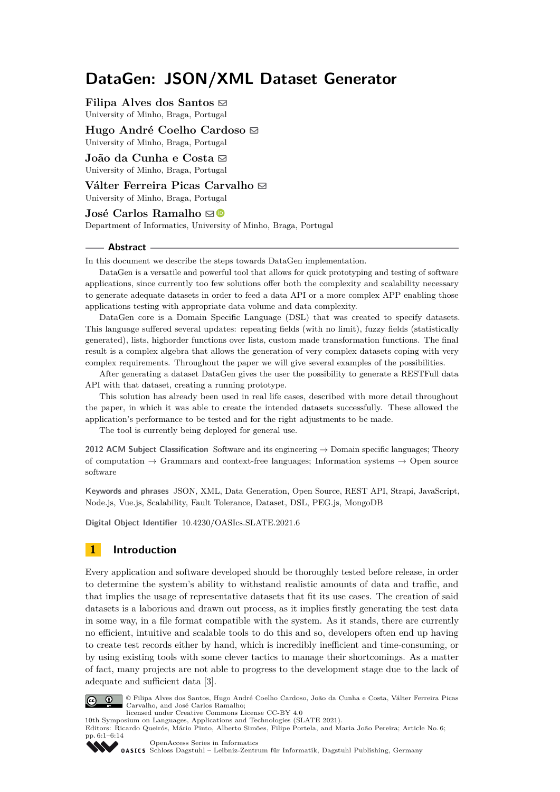# **DataGen: JSON/XML Dataset Generator**

**Filipa Alves dos Santos**  $\odot$ University of Minho, Braga, Portugal

**Hugo André Coelho Cardoso** University of Minho, Braga, Portugal

João da Cunha e Costa **⊠** University of Minho, Braga, Portugal

**Válter Ferreira Picas Carvalho ⊠** 

University of Minho, Braga, Portugal

# **José Carlos Ramalho**  $\boxtimes$

Department of Informatics, University of Minho, Braga, Portugal

#### **Abstract**

In this document we describe the steps towards DataGen implementation.

DataGen is a versatile and powerful tool that allows for quick prototyping and testing of software applications, since currently too few solutions offer both the complexity and scalability necessary to generate adequate datasets in order to feed a data API or a more complex APP enabling those applications testing with appropriate data volume and data complexity.

DataGen core is a Domain Specific Language (DSL) that was created to specify datasets. This language suffered several updates: repeating fields (with no limit), fuzzy fields (statistically generated), lists, highorder functions over lists, custom made transformation functions. The final result is a complex algebra that allows the generation of very complex datasets coping with very complex requirements. Throughout the paper we will give several examples of the possibilities.

After generating a dataset DataGen gives the user the possibility to generate a RESTFull data API with that dataset, creating a running prototype.

This solution has already been used in real life cases, described with more detail throughout the paper, in which it was able to create the intended datasets successfully. These allowed the application's performance to be tested and for the right adjustments to be made.

The tool is currently being deployed for general use.

**2012 ACM Subject Classification** Software and its engineering → Domain specific languages; Theory of computation  $\rightarrow$  Grammars and context-free languages; Information systems  $\rightarrow$  Open source software

**Keywords and phrases** JSON, XML, Data Generation, Open Source, REST API, Strapi, JavaScript, Node.js, Vue.js, Scalability, Fault Tolerance, Dataset, DSL, PEG.js, MongoDB

**Digital Object Identifier** [10.4230/OASIcs.SLATE.2021.6](https://doi.org/10.4230/OASIcs.SLATE.2021.6)

# **1 Introduction**

Every application and software developed should be thoroughly tested before release, in order to determine the system's ability to withstand realistic amounts of data and traffic, and that implies the usage of representative datasets that fit its use cases. The creation of said datasets is a laborious and drawn out process, as it implies firstly generating the test data in some way, in a file format compatible with the system. As it stands, there are currently no efficient, intuitive and scalable tools to do this and so, developers often end up having to create test records either by hand, which is incredibly inefficient and time-consuming, or by using existing tools with some clever tactics to manage their shortcomings. As a matter of fact, many projects are not able to progress to the development stage due to the lack of adequate and sufficient data [\[3\]](#page-12-0).



© Filipa Alves dos Santos, Hugo André Coelho Cardoso, João da Cunha e Costa, Válter Ferreira Picas Carvalho, and José Carlos Ramalho;

licensed under Creative Commons License CC-BY 4.0 10th Symposium on Languages, Applications and Technologies (SLATE 2021).

Editors: Ricardo Queirós, Mário Pinto, Alberto Simões, Filipe Portela, and Maria João Pereira; Article No. 6; pp. 6:1–6:14



[OpenAccess Series in Informatics](https://www.dagstuhl.de/oasics/) [Schloss Dagstuhl – Leibniz-Zentrum für Informatik, Dagstuhl Publishing, Germany](https://www.dagstuhl.de)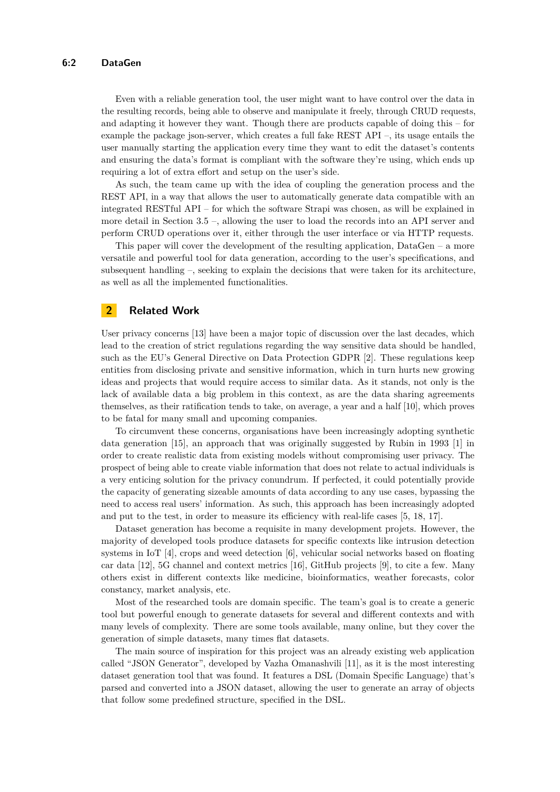### **6:2 DataGen**

Even with a reliable generation tool, the user might want to have control over the data in the resulting records, being able to observe and manipulate it freely, through CRUD requests, and adapting it however they want. Though there are products capable of doing this – for example the package json-server, which creates a full fake REST API –, its usage entails the user manually starting the application every time they want to edit the dataset's contents and ensuring the data's format is compliant with the software they're using, which ends up requiring a lot of extra effort and setup on the user's side.

As such, the team came up with the idea of coupling the generation process and the REST API, in a way that allows the user to automatically generate data compatible with an integrated RESTful API – for which the software Strapi was chosen, as will be explained in more detail in Section [3.5](#page-9-0) –, allowing the user to load the records into an API server and perform CRUD operations over it, either through the user interface or via HTTP requests.

This paper will cover the development of the resulting application,  $DataGen - a$  more versatile and powerful tool for data generation, according to the user's specifications, and subsequent handling –, seeking to explain the decisions that were taken for its architecture, as well as all the implemented functionalities.

# **2 Related Work**

User privacy concerns [\[13\]](#page-13-0) have been a major topic of discussion over the last decades, which lead to the creation of strict regulations regarding the way sensitive data should be handled, such as the EU's General Directive on Data Protection GDPR [\[2\]](#page-12-1). These regulations keep entities from disclosing private and sensitive information, which in turn hurts new growing ideas and projects that would require access to similar data. As it stands, not only is the lack of available data a big problem in this context, as are the data sharing agreements themselves, as their ratification tends to take, on average, a year and a half [\[10\]](#page-13-1), which proves to be fatal for many small and upcoming companies.

To circumvent these concerns, organisations have been increasingly adopting synthetic data generation [\[15\]](#page-13-2), an approach that was originally suggested by Rubin in 1993 [\[1\]](#page-12-2) in order to create realistic data from existing models without compromising user privacy. The prospect of being able to create viable information that does not relate to actual individuals is a very enticing solution for the privacy conundrum. If perfected, it could potentially provide the capacity of generating sizeable amounts of data according to any use cases, bypassing the need to access real users' information. As such, this approach has been increasingly adopted and put to the test, in order to measure its efficiency with real-life cases [\[5,](#page-12-3) [18,](#page-13-3) [17\]](#page-13-4).

Dataset generation has become a requisite in many development projets. However, the majority of developed tools produce datasets for specific contexts like intrusion detection systems in IoT [\[4\]](#page-12-4), crops and weed detection [\[6\]](#page-13-5), vehicular social networks based on floating car data [\[12\]](#page-13-6), 5G channel and context metrics [\[16\]](#page-13-7), GitHub projects [\[9\]](#page-13-8), to cite a few. Many others exist in different contexts like medicine, bioinformatics, weather forecasts, color constancy, market analysis, etc.

Most of the researched tools are domain specific. The team's goal is to create a generic tool but powerful enough to generate datasets for several and different contexts and with many levels of complexity. There are some tools available, many online, but they cover the generation of simple datasets, many times flat datasets.

The main source of inspiration for this project was an already existing web application called "JSON Generator", developed by Vazha Omanashvili [\[11\]](#page-13-9), as it is the most interesting dataset generation tool that was found. It features a DSL (Domain Specific Language) that's parsed and converted into a JSON dataset, allowing the user to generate an array of objects that follow some predefined structure, specified in the DSL.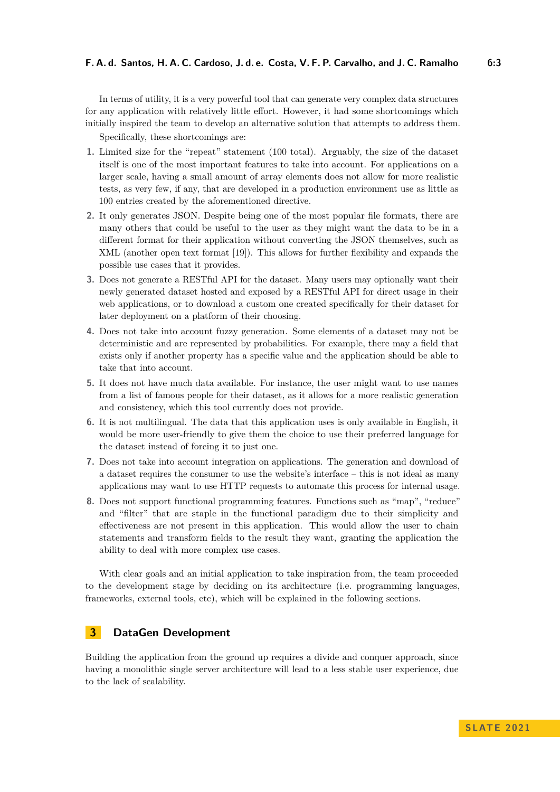In terms of utility, it is a very powerful tool that can generate very complex data structures for any application with relatively little effort. However, it had some shortcomings which initially inspired the team to develop an alternative solution that attempts to address them.

Specifically, these shortcomings are:

- **1.** Limited size for the "repeat" statement (100 total). Arguably, the size of the dataset itself is one of the most important features to take into account. For applications on a larger scale, having a small amount of array elements does not allow for more realistic tests, as very few, if any, that are developed in a production environment use as little as 100 entries created by the aforementioned directive.
- **2.** It only generates JSON. Despite being one of the most popular file formats, there are many others that could be useful to the user as they might want the data to be in a different format for their application without converting the JSON themselves, such as XML (another open text format [\[19\]](#page-13-10)). This allows for further flexibility and expands the possible use cases that it provides.
- **3.** Does not generate a RESTful API for the dataset. Many users may optionally want their newly generated dataset hosted and exposed by a RESTful API for direct usage in their web applications, or to download a custom one created specifically for their dataset for later deployment on a platform of their choosing.
- **4.** Does not take into account fuzzy generation. Some elements of a dataset may not be deterministic and are represented by probabilities. For example, there may a field that exists only if another property has a specific value and the application should be able to take that into account.
- **5.** It does not have much data available. For instance, the user might want to use names from a list of famous people for their dataset, as it allows for a more realistic generation and consistency, which this tool currently does not provide.
- **6.** It is not multilingual. The data that this application uses is only available in English, it would be more user-friendly to give them the choice to use their preferred language for the dataset instead of forcing it to just one.
- **7.** Does not take into account integration on applications. The generation and download of a dataset requires the consumer to use the website's interface – this is not ideal as many applications may want to use HTTP requests to automate this process for internal usage.
- **8.** Does not support functional programming features. Functions such as "map", "reduce" and "filter" that are staple in the functional paradigm due to their simplicity and effectiveness are not present in this application. This would allow the user to chain statements and transform fields to the result they want, granting the application the ability to deal with more complex use cases.

With clear goals and an initial application to take inspiration from, the team proceeded to the development stage by deciding on its architecture (i.e. programming languages, frameworks, external tools, etc), which will be explained in the following sections.

# **3 DataGen Development**

Building the application from the ground up requires a divide and conquer approach, since having a monolithic single server architecture will lead to a less stable user experience, due to the lack of scalability.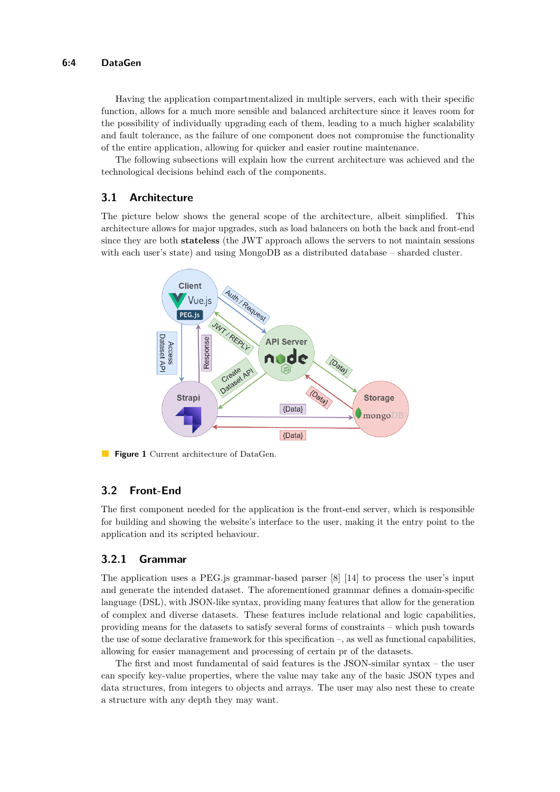Having the application compartmentalized in multiple servers, each with their specific function, allows for a much more sensible and balanced architecture since it leaves room for the possibility of individually upgrading each of them, leading to a much higher scalability and fault tolerance, as the failure of one component does not compromise the functionality of the entire application, allowing for quicker and easier routine maintenance.

The following subsections will explain how the current architecture was achieved and the technological decisions behind each of the components.

### **3.1 Architecture**

The picture below shows the general scope of the architecture, albeit simplified. This architecture allows for major upgrades, such as load balancers on both the back and front-end since they are both **stateless** (the JWT approach allows the servers to not maintain sessions with each user's state) and using MongoDB as a distributed database – sharded cluster.



**Figure 1** Current architecture of DataGen.

# **3.2 Front-End**

The first component needed for the application is the front-end server, which is responsible for building and showing the website's interface to the user, making it the entry point to the application and its scripted behaviour.

# **3.2.1 Grammar**

The application uses a PEG.js grammar-based parser [\[8\]](#page-13-11) [\[14\]](#page-13-12) to process the user's input and generate the intended dataset. The aforementioned grammar defines a domain-specific language (DSL), with JSON-like syntax, providing many features that allow for the generation of complex and diverse datasets. These features include relational and logic capabilities, providing means for the datasets to satisfy several forms of constraints – which push towards the use of some declarative framework for this specification –, as well as functional capabilities, allowing for easier management and processing of certain pr of the datasets.

The first and most fundamental of said features is the JSON-similar syntax – the user can specify key-value properties, where the value may take any of the basic JSON types and data structures, from integers to objects and arrays. The user may also nest these to create a structure with any depth they may want.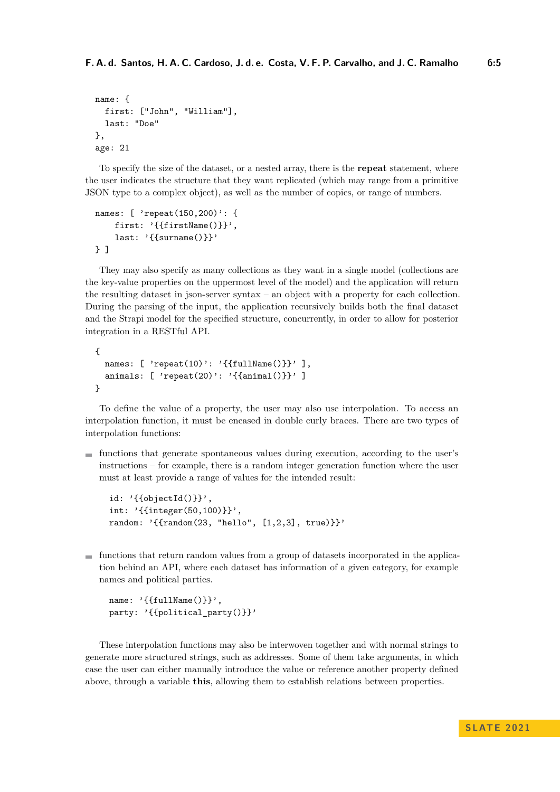```
name: {
  first: ["John", "William"],
  last: "Doe"
},
age: 21
```
To specify the size of the dataset, or a nested array, there is the **repeat** statement, where the user indicates the structure that they want replicated (which may range from a primitive JSON type to a complex object), as well as the number of copies, or range of numbers.

```
names: [ 'repeat(150,200)': {
    first: '{{firstName()}}',
    last: '{{surname()}}'
} ]
```
They may also specify as many collections as they want in a single model (collections are the key-value properties on the uppermost level of the model) and the application will return the resulting dataset in json-server syntax – an object with a property for each collection. During the parsing of the input, the application recursively builds both the final dataset and the Strapi model for the specified structure, concurrently, in order to allow for posterior integration in a RESTful API.

```
{
 names: [ 'repeat(10)': '{{fullName()}}' ],
  animals: [ 'repeat(20)': '{{animal()}}' ]
}
```
To define the value of a property, the user may also use interpolation. To access an interpolation function, it must be encased in double curly braces. There are two types of interpolation functions:

 $\blacksquare$  functions that generate spontaneous values during execution, according to the user's instructions – for example, there is a random integer generation function where the user must at least provide a range of values for the intended result:

```
id: '{{objectId()}}',
int: '{{integer(50,100)}}',
random: '{{random(23, "hello", [1,2,3], true)}}'
```
 $\blacksquare$  functions that return random values from a group of datasets incorporated in the application behind an API, where each dataset has information of a given category, for example names and political parties.

```
name: '{{fullName()}}',
party: '{{political_party()}}'
```
These interpolation functions may also be interwoven together and with normal strings to generate more structured strings, such as addresses. Some of them take arguments, in which case the user can either manually introduce the value or reference another property defined above, through a variable **this**, allowing them to establish relations between properties.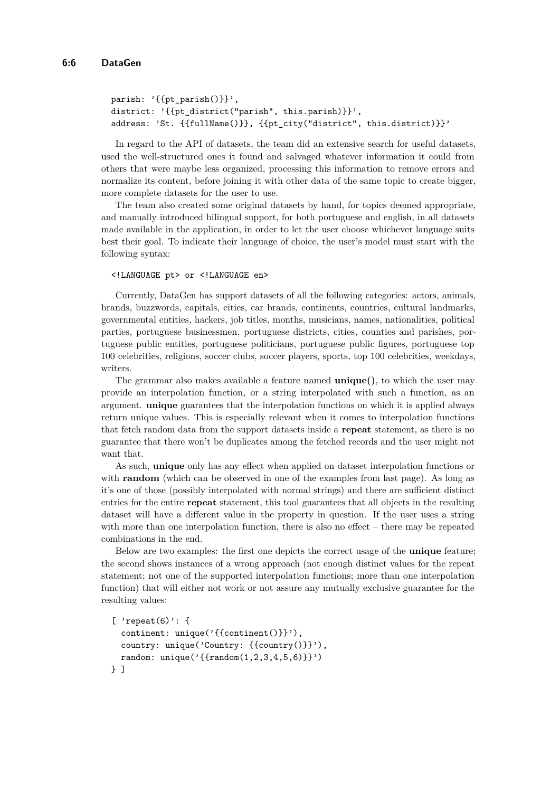```
parish: '\{[pt_parish()}}',
district: '{{pt_district("parish", this.parish)}}',
address: 'St. {{fullName()}}, {{pt_city("district", this.district)}}'
```
In regard to the API of datasets, the team did an extensive search for useful datasets, used the well-structured ones it found and salvaged whatever information it could from others that were maybe less organized, processing this information to remove errors and normalize its content, before joining it with other data of the same topic to create bigger, more complete datasets for the user to use.

The team also created some original datasets by hand, for topics deemed appropriate, and manually introduced bilingual support, for both portuguese and english, in all datasets made available in the application, in order to let the user choose whichever language suits best their goal. To indicate their language of choice, the user's model must start with the following syntax:

#### <!LANGUAGE pt> or <!LANGUAGE en>

Currently, DataGen has support datasets of all the following categories: actors, animals, brands, buzzwords, capitals, cities, car brands, continents, countries, cultural landmarks, governmental entities, hackers, job titles, months, musicians, names, nationalities, political parties, portuguese businessmen, portuguese districts, cities, counties and parishes, portuguese public entities, portuguese politicians, portuguese public figures, portuguese top 100 celebrities, religions, soccer clubs, soccer players, sports, top 100 celebrities, weekdays, writers.

The grammar also makes available a feature named **unique()**, to which the user may provide an interpolation function, or a string interpolated with such a function, as an argument. **unique** guarantees that the interpolation functions on which it is applied always return unique values. This is especially relevant when it comes to interpolation functions that fetch random data from the support datasets inside a **repeat** statement, as there is no guarantee that there won't be duplicates among the fetched records and the user might not want that.

As such, **unique** only has any effect when applied on dataset interpolation functions or with **random** (which can be observed in one of the examples from last page). As long as it's one of those (possibly interpolated with normal strings) and there are sufficient distinct entries for the entire **repeat** statement, this tool guarantees that all objects in the resulting dataset will have a different value in the property in question. If the user uses a string with more than one interpolation function, there is also no effect – there may be repeated combinations in the end.

Below are two examples: the first one depicts the correct usage of the **unique** feature; the second shows instances of a wrong approach (not enough distinct values for the repeat statement; not one of the supported interpolation functions; more than one interpolation function) that will either not work or not assure any mutually exclusive guarantee for the resulting values:

```
[ 'repeat(6)': {
  continent: unique('{{continent()}}'),
  country: unique('Country: {{country()}}'),
  random: unique('{\text{random}(1,2,3,4,5,6)})'')} ]
```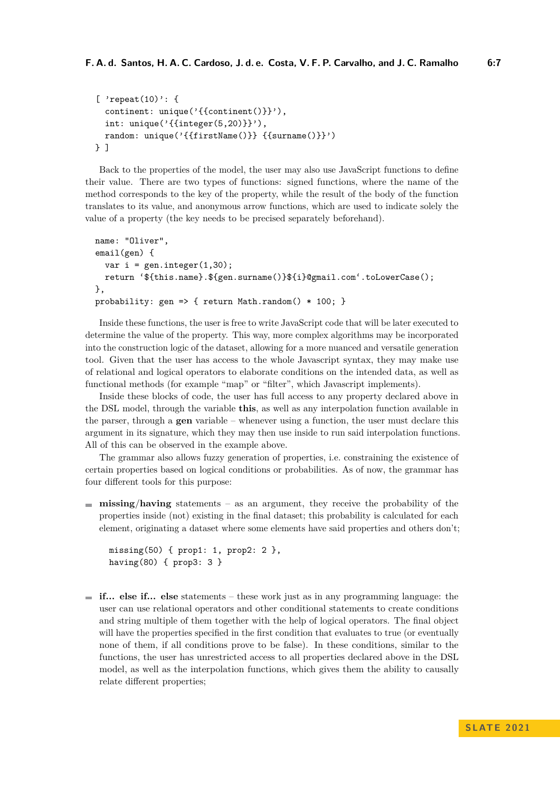```
[ 'repeat(10)': {
  continent: unique('{{continent()}}'),
  int: unique(\{ \{ \text{integer}(5, 20) \} \}'),
  random: unique('{{firstName()}} {{surname()}}')
} ]
```
Back to the properties of the model, the user may also use JavaScript functions to define their value. There are two types of functions: signed functions, where the name of the method corresponds to the key of the property, while the result of the body of the function translates to its value, and anonymous arrow functions, which are used to indicate solely the value of a property (the key needs to be precised separately beforehand).

```
name: "Oliver",
email(gen) {
  var i = gen.integer(1,30);
  return '${this.name}.${gen.surname()}${i}@gmail.com'.toLowerCase();
},
probability: gen => { return Math.random() * 100; }
```
Inside these functions, the user is free to write JavaScript code that will be later executed to determine the value of the property. This way, more complex algorithms may be incorporated into the construction logic of the dataset, allowing for a more nuanced and versatile generation tool. Given that the user has access to the whole Javascript syntax, they may make use of relational and logical operators to elaborate conditions on the intended data, as well as functional methods (for example "map" or "filter", which Javascript implements).

Inside these blocks of code, the user has full access to any property declared above in the DSL model, through the variable **this**, as well as any interpolation function available in the parser, through a **gen** variable – whenever using a function, the user must declare this argument in its signature, which they may then use inside to run said interpolation functions. All of this can be observed in the example above.

The grammar also allows fuzzy generation of properties, i.e. constraining the existence of certain properties based on logical conditions or probabilities. As of now, the grammar has four different tools for this purpose:

**missing**/**having** statements – as an argument, they receive the probability of the properties inside (not) existing in the final dataset; this probability is calculated for each element, originating a dataset where some elements have said properties and others don't;

```
missing(50) { prop1: 1, prop2: 2 },
having(80) { prop3: 3 }
```
**if... else if... else** statements – these work just as in any programming language: the user can use relational operators and other conditional statements to create conditions and string multiple of them together with the help of logical operators. The final object will have the properties specified in the first condition that evaluates to true (or eventually none of them, if all conditions prove to be false). In these conditions, similar to the functions, the user has unrestricted access to all properties declared above in the DSL model, as well as the interpolation functions, which gives them the ability to causally relate different properties;

**S L AT E 2 0 2 1**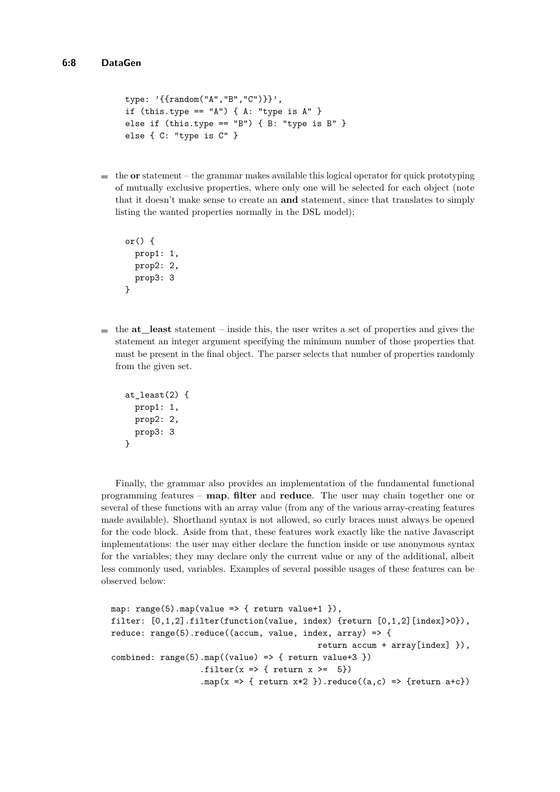```
type: '{{random("A","B","C")}}',
if (this.type == 'A') { A: "type is A'' }
else if (this.type == "B") { B: "type is B" }
else { C: "type is C" }
```
 $\blacksquare$  the **or** statement – the grammar makes available this logical operator for quick prototyping of mutually exclusive properties, where only one will be selected for each object (note that it doesn't make sense to create an **and** statement, since that translates to simply listing the wanted properties normally in the DSL model);

```
or() \{prop1: 1,
 prop2: 2,
 prop3: 3
}
```
 $\blacksquare$  the **at** least statement – inside this, the user writes a set of properties and gives the statement an integer argument specifying the minimum number of those properties that must be present in the final object. The parser selects that number of properties randomly from the given set.

```
at_least(2) {
  prop1: 1,
  prop2: 2,
  prop3: 3
}
```
Finally, the grammar also provides an implementation of the fundamental functional programming features – **map**, **filter** and **reduce**. The user may chain together one or several of these functions with an array value (from any of the various array-creating features made available). Shorthand syntax is not allowed, so curly braces must always be opened for the code block. Aside from that, these features work exactly like the native Javascript implementations: the user may either declare the function inside or use anonymous syntax for the variables; they may declare only the current value or any of the additional, albeit less commonly used, variables. Examples of several possible usages of these features can be observed below:

```
map: range(5) . map(value => { return value+1 }),
filter: [0,1,2].filter(function(value, index) {return [0,1,2] [index]>0}),
reduce: range(5).reduce((accum, value, index, array) => {
                                               return accum + array[index] }),
combined: range(5) .map((value) \Rightarrow { return value+3 }).filter(x \Rightarrow { return x \ge 5})
                    .map(x \Rightarrow { return x \times 2 }).reduce((a, c) => {return a+c})
```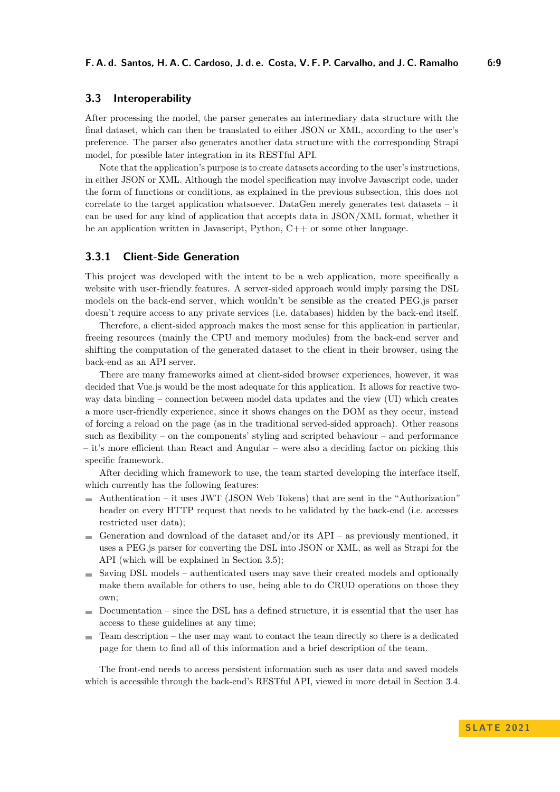# **3.3 Interoperability**

After processing the model, the parser generates an intermediary data structure with the final dataset, which can then be translated to either JSON or XML, according to the user's preference. The parser also generates another data structure with the corresponding Strapi model, for possible later integration in its RESTful API.

Note that the application's purpose is to create datasets according to the user's instructions, in either JSON or XML. Although the model specification may involve Javascript code, under the form of functions or conditions, as explained in the previous subsection, this does not correlate to the target application whatsoever. DataGen merely generates test datasets – it can be used for any kind of application that accepts data in JSON/XML format, whether it be an application written in Javascript, Python, C++ or some other language.

## **3.3.1 Client-Side Generation**

This project was developed with the intent to be a web application, more specifically a website with user-friendly features. A server-sided approach would imply parsing the DSL models on the back-end server, which wouldn't be sensible as the created PEG.js parser doesn't require access to any private services (i.e. databases) hidden by the back-end itself.

Therefore, a client-sided approach makes the most sense for this application in particular, freeing resources (mainly the CPU and memory modules) from the back-end server and shifting the computation of the generated dataset to the client in their browser, using the back-end as an API server.

There are many frameworks aimed at client-sided browser experiences, however, it was decided that Vue.js would be the most adequate for this application. It allows for reactive twoway data binding – connection between model data updates and the view (UI) which creates a more user-friendly experience, since it shows changes on the DOM as they occur, instead of forcing a reload on the page (as in the traditional served-sided approach). Other reasons such as flexibility – on the components' styling and scripted behaviour – and performance – it's more efficient than React and Angular – were also a deciding factor on picking this specific framework.

After deciding which framework to use, the team started developing the interface itself, which currently has the following features:

- $\blacksquare$  Authorization it uses JWT (JSON Web Tokens) that are sent in the "Authorization" header on every HTTP request that needs to be validated by the back-end (i.e. accesses restricted user data);
- Generation and download of the dataset and/or its  $API$  as previously mentioned, it uses a PEG.js parser for converting the DSL into JSON or XML, as well as Strapi for the API (which will be explained in Section [3.5\)](#page-9-0);
- Saving DSL models authenticated users may save their created models and optionally make them available for others to use, being able to do CRUD operations on those they own;
- $\blacksquare$  Documentation since the DSL has a defined structure, it is essential that the user has access to these guidelines at any time;
- $\blacksquare$  Team description the user may want to contact the team directly so there is a dedicated page for them to find all of this information and a brief description of the team.

The front-end needs to access persistent information such as user data and saved models which is accessible through the back-end's RESTful API, viewed in more detail in Section [3.4.](#page-9-1)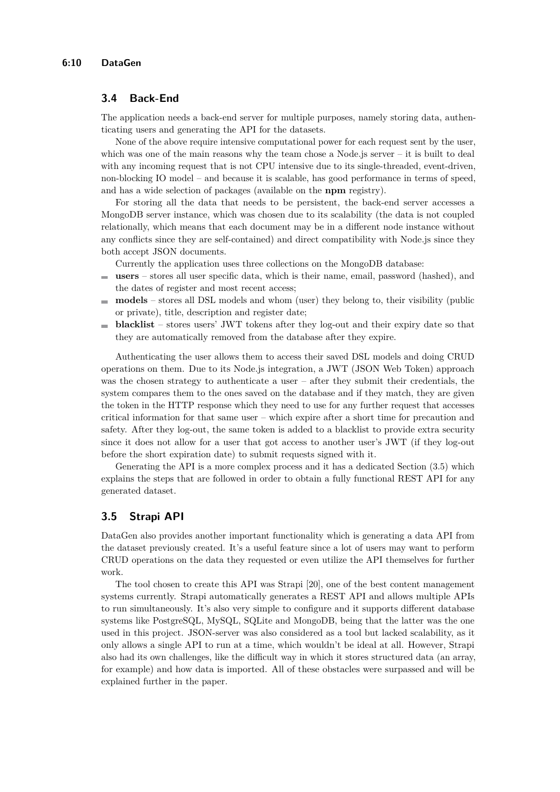## <span id="page-9-1"></span>**3.4 Back-End**

The application needs a back-end server for multiple purposes, namely storing data, authenticating users and generating the API for the datasets.

None of the above require intensive computational power for each request sent by the user, which was one of the main reasons why the team chose a Node.js server  $-$  it is built to deal with any incoming request that is not CPU intensive due to its single-threaded, event-driven, non-blocking IO model – and because it is scalable, has good performance in terms of speed, and has a wide selection of packages (available on the **npm** registry).

For storing all the data that needs to be persistent, the back-end server accesses a MongoDB server instance, which was chosen due to its scalability (the data is not coupled relationally, which means that each document may be in a different node instance without any conflicts since they are self-contained) and direct compatibility with Node.js since they both accept JSON documents.

Currently the application uses three collections on the MongoDB database:

- **users** stores all user specific data, which is their name, email, password (hashed), and m. the dates of register and most recent access;
- **models** stores all DSL models and whom (user) they belong to, their visibility (public  $\blacksquare$ or private), title, description and register date;
- **blacklist** stores users' JWT tokens after they log-out and their expiry date so that m. they are automatically removed from the database after they expire.

Authenticating the user allows them to access their saved DSL models and doing CRUD operations on them. Due to its Node.js integration, a JWT (JSON Web Token) approach was the chosen strategy to authenticate a user – after they submit their credentials, the system compares them to the ones saved on the database and if they match, they are given the token in the HTTP response which they need to use for any further request that accesses critical information for that same user – which expire after a short time for precaution and safety. After they log-out, the same token is added to a blacklist to provide extra security since it does not allow for a user that got access to another user's JWT (if they log-out before the short expiration date) to submit requests signed with it.

Generating the API is a more complex process and it has a dedicated Section [\(3.5\)](#page-9-0) which explains the steps that are followed in order to obtain a fully functional REST API for any generated dataset.

## <span id="page-9-0"></span>**3.5 Strapi API**

DataGen also provides another important functionality which is generating a data API from the dataset previously created. It's a useful feature since a lot of users may want to perform CRUD operations on the data they requested or even utilize the API themselves for further work.

The tool chosen to create this API was Strapi [\[20\]](#page-13-13), one of the best content management systems currently. Strapi automatically generates a REST API and allows multiple APIs to run simultaneously. It's also very simple to configure and it supports different database systems like PostgreSQL, MySQL, SQLite and MongoDB, being that the latter was the one used in this project. JSON-server was also considered as a tool but lacked scalability, as it only allows a single API to run at a time, which wouldn't be ideal at all. However, Strapi also had its own challenges, like the difficult way in which it stores structured data (an array, for example) and how data is imported. All of these obstacles were surpassed and will be explained further in the paper.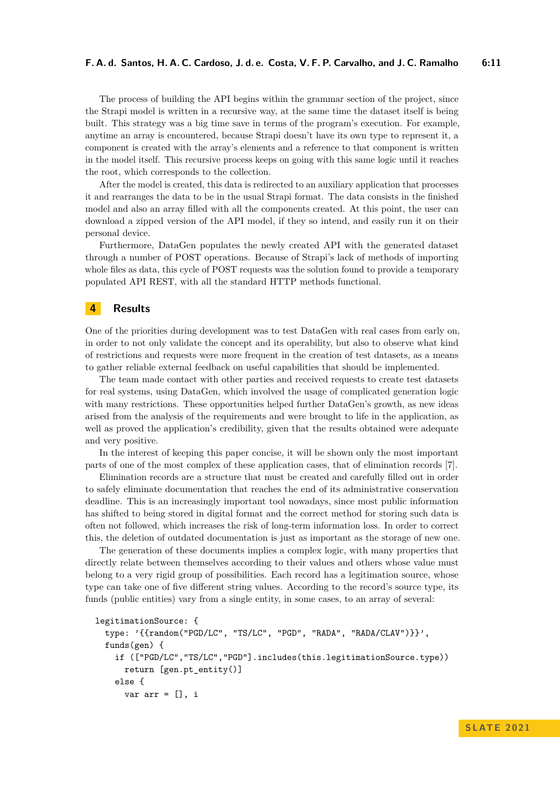The process of building the API begins within the grammar section of the project, since the Strapi model is written in a recursive way, at the same time the dataset itself is being built. This strategy was a big time save in terms of the program's execution. For example, anytime an array is encountered, because Strapi doesn't have its own type to represent it, a component is created with the array's elements and a reference to that component is written in the model itself. This recursive process keeps on going with this same logic until it reaches the root, which corresponds to the collection.

After the model is created, this data is redirected to an auxiliary application that processes it and rearranges the data to be in the usual Strapi format. The data consists in the finished model and also an array filled with all the components created. At this point, the user can download a zipped version of the API model, if they so intend, and easily run it on their personal device.

Furthermore, DataGen populates the newly created API with the generated dataset through a number of POST operations. Because of Strapi's lack of methods of importing whole files as data, this cycle of POST requests was the solution found to provide a temporary populated API REST, with all the standard HTTP methods functional.

# **4 Results**

One of the priorities during development was to test DataGen with real cases from early on, in order to not only validate the concept and its operability, but also to observe what kind of restrictions and requests were more frequent in the creation of test datasets, as a means to gather reliable external feedback on useful capabilities that should be implemented.

The team made contact with other parties and received requests to create test datasets for real systems, using DataGen, which involved the usage of complicated generation logic with many restrictions. These opportunities helped further DataGen's growth, as new ideas arised from the analysis of the requirements and were brought to life in the application, as well as proved the application's credibility, given that the results obtained were adequate and very positive.

In the interest of keeping this paper concise, it will be shown only the most important parts of one of the most complex of these application cases, that of elimination records [\[7\]](#page-13-14).

Elimination records are a structure that must be created and carefully filled out in order to safely eliminate documentation that reaches the end of its administrative conservation deadline. This is an increasingly important tool nowadays, since most public information has shifted to being stored in digital format and the correct method for storing such data is often not followed, which increases the risk of long-term information loss. In order to correct this, the deletion of outdated documentation is just as important as the storage of new one.

The generation of these documents implies a complex logic, with many properties that directly relate between themselves according to their values and others whose value must belong to a very rigid group of possibilities. Each record has a legitimation source, whose type can take one of five different string values. According to the record's source type, its funds (public entities) vary from a single entity, in some cases, to an array of several:

```
legitimationSource: {
  type: '{{random("PGD/LC", "TS/LC", "PGD", "RADA", "RADA/CLAV")}}',
  funds(gen) {
    if (["PGD/LC","TS/LC","PGD"].includes(this.legitimationSource.type))
      return [gen.pt_entity()]
    else {
      var arr = [], i
```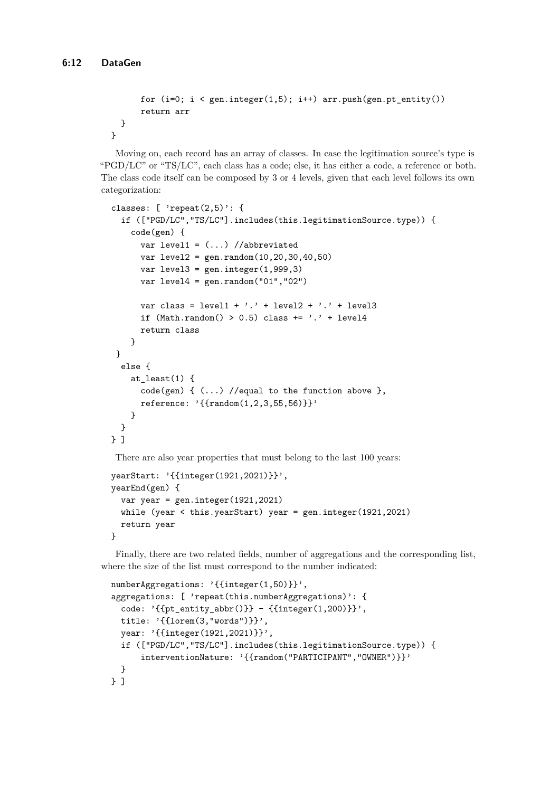```
for (i=0; i < gen.integer(1,5); i++) arr.push(gen.p t_entity())return arr
 }
}
```
Moving on, each record has an array of classes. In case the legitimation source's type is "PGD/LC" or "TS/LC", each class has a code; else, it has either a code, a reference or both. The class code itself can be composed by 3 or 4 levels, given that each level follows its own categorization:

```
classes: [ 'repeat(2,5)': {
  if (["PGD/LC","TS/LC"].includes(this.legitimationSource.type)) {
    code(gen) {
      var level1 = (...) //abbreviated
      var level2 = gen.random(10,20,30,40,50)
      var level3 = gen.integer(1,999,3)
      var level4 = \text{gen.random("01", "02")}var class = level1 + \cdot.' + level2 + \cdot.' + level3
      if (Math.random() > 0.5) class += '.' + level4return class
    }
 }
  else {
    at least(1) {
      code(gen) {(...) //equal to the function above },
      reference: '{{random(1,2,3,55,56)}}'
    }
  }
} ]
There are also year properties that must belong to the last 100 years:
```

```
yearStart: '{{integer(1921,2021)}}',
yearEnd(gen) {
  var year = gen.integer(1921, 2021)while (year < this.yearStart) year = gen.integer(1921,2021)
 return year
}
```
Finally, there are two related fields, number of aggregations and the corresponding list, where the size of the list must correspond to the number indicated:

```
numberAggregations: '{{integer(1,50)}}',
aggregations: [ 'repeat(this.numberAggregations)': {
  code: '{{pt\_entity\_abbr()}} - {{interger(1,200)}}',
  title: '{{lorem(3,"words")}}',
  year: '{{integer(1921,2021)}}',
  if (["PGD/LC","TS/LC"].includes(this.legitimationSource.type)) {
      interventionNature: '{{random("PARTICIPANT","OWNER")}}'
  }
} ]
```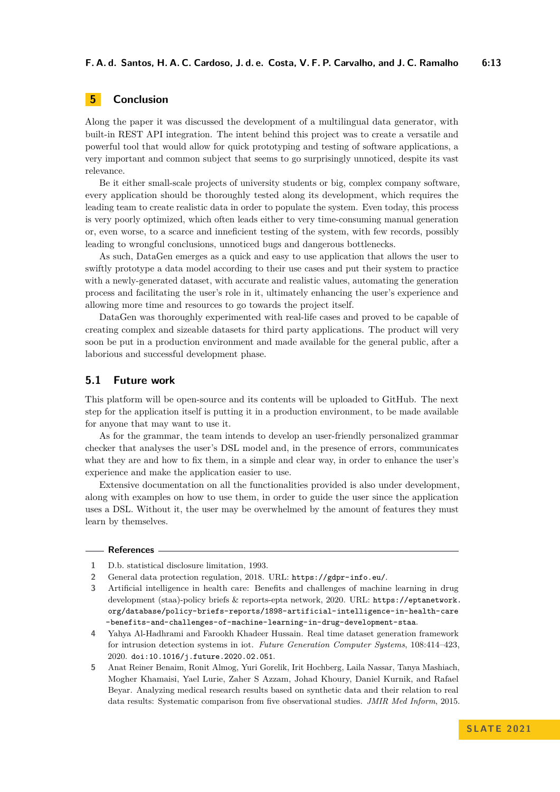# **5 Conclusion**

Along the paper it was discussed the development of a multilingual data generator, with built-in REST API integration. The intent behind this project was to create a versatile and powerful tool that would allow for quick prototyping and testing of software applications, a very important and common subject that seems to go surprisingly unnoticed, despite its vast relevance.

Be it either small-scale projects of university students or big, complex company software, every application should be thoroughly tested along its development, which requires the leading team to create realistic data in order to populate the system. Even today, this process is very poorly optimized, which often leads either to very time-consuming manual generation or, even worse, to a scarce and inneficient testing of the system, with few records, possibly leading to wrongful conclusions, unnoticed bugs and dangerous bottlenecks.

As such, DataGen emerges as a quick and easy to use application that allows the user to swiftly prototype a data model according to their use cases and put their system to practice with a newly-generated dataset, with accurate and realistic values, automating the generation process and facilitating the user's role in it, ultimately enhancing the user's experience and allowing more time and resources to go towards the project itself.

DataGen was thoroughly experimented with real-life cases and proved to be capable of creating complex and sizeable datasets for third party applications. The product will very soon be put in a production environment and made available for the general public, after a laborious and successful development phase.

### **5.1 Future work**

This platform will be open-source and its contents will be uploaded to GitHub. The next step for the application itself is putting it in a production environment, to be made available for anyone that may want to use it.

As for the grammar, the team intends to develop an user-friendly personalized grammar checker that analyses the user's DSL model and, in the presence of errors, communicates what they are and how to fix them, in a simple and clear way, in order to enhance the user's experience and make the application easier to use.

Extensive documentation on all the functionalities provided is also under development, along with examples on how to use them, in order to guide the user since the application uses a DSL. Without it, the user may be overwhelmed by the amount of features they must learn by themselves.

### **References**

<span id="page-12-2"></span>**<sup>1</sup>** D.b. statistical disclosure limitation, 1993.

<span id="page-12-1"></span>**<sup>2</sup>** General data protection regulation, 2018. URL: <https://gdpr-info.eu/>.

<span id="page-12-0"></span>**<sup>3</sup>** Artificial intelligence in health care: Benefits and challenges of machine learning in drug development (staa)-policy briefs & reports-epta network, 2020. URL: [https://eptanetwork.](https://eptanetwork.org/database/policy-briefs-reports/1898-artificial-intelligence-in-health-care-benefits- and-challenges-of-machine-learning-in-drug-development-staa) [org/database/policy-briefs-reports/1898-artificial-intelligence-in-health-care](https://eptanetwork.org/database/policy-briefs-reports/1898-artificial-intelligence-in-health-care-benefits- and-challenges-of-machine-learning-in-drug-development-staa) [-benefits-and-challenges-of-machine-learning-in-drug-development-staa](https://eptanetwork.org/database/policy-briefs-reports/1898-artificial-intelligence-in-health-care-benefits- and-challenges-of-machine-learning-in-drug-development-staa).

<span id="page-12-4"></span>**<sup>4</sup>** Yahya Al-Hadhrami and Farookh Khadeer Hussain. Real time dataset generation framework for intrusion detection systems in iot. *Future Generation Computer Systems*, 108:414–423, 2020. [doi:10.1016/j.future.2020.02.051](https://doi.org/10.1016/j.future.2020.02.051).

<span id="page-12-3"></span>**<sup>5</sup>** Anat Reiner Benaim, Ronit Almog, Yuri Gorelik, Irit Hochberg, Laila Nassar, Tanya Mashiach, Mogher Khamaisi, Yael Lurie, Zaher S Azzam, Johad Khoury, Daniel Kurnik, and Rafael Beyar. Analyzing medical research results based on synthetic data and their relation to real data results: Systematic comparison from five observational studies. *JMIR Med Inform*, 2015.